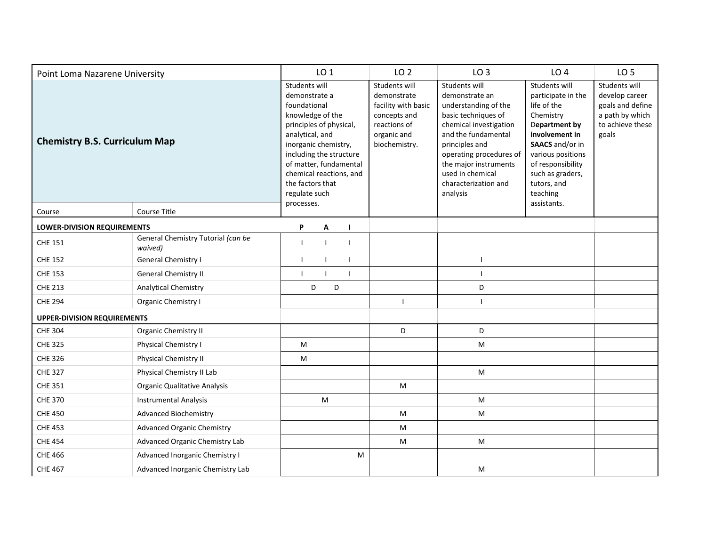| Point Loma Nazarene University       |                                               | LO <sub>1</sub>                                                                                                                                                                                                                                               |              | LO <sub>2</sub> | LO <sub>3</sub> | LO <sub>4</sub>                                                                                                     | LO <sub>5</sub>                                                                                                                                                                                                                                               |                                                                                                                                                                                                                               |                                                                                                     |
|--------------------------------------|-----------------------------------------------|---------------------------------------------------------------------------------------------------------------------------------------------------------------------------------------------------------------------------------------------------------------|--------------|-----------------|-----------------|---------------------------------------------------------------------------------------------------------------------|---------------------------------------------------------------------------------------------------------------------------------------------------------------------------------------------------------------------------------------------------------------|-------------------------------------------------------------------------------------------------------------------------------------------------------------------------------------------------------------------------------|-----------------------------------------------------------------------------------------------------|
| <b>Chemistry B.S. Curriculum Map</b> |                                               | Students will<br>demonstrate a<br>foundational<br>knowledge of the<br>principles of physical,<br>analytical, and<br>inorganic chemistry,<br>including the structure<br>of matter, fundamental<br>chemical reactions, and<br>the factors that<br>regulate such |              |                 |                 | Students will<br>demonstrate<br>facility with basic<br>concepts and<br>reactions of<br>organic and<br>biochemistry. | Students will<br>demonstrate an<br>understanding of the<br>basic techniques of<br>chemical investigation<br>and the fundamental<br>principles and<br>operating procedures of<br>the major instruments<br>used in chemical<br>characterization and<br>analysis | Students will<br>participate in the<br>life of the<br>Chemistry<br>Department by<br>involvement in<br>SAACS and/or in<br>various positions<br>of responsibility<br>such as graders,<br>tutors, and<br>teaching<br>assistants. | Students will<br>develop career<br>goals and define<br>a path by which<br>to achieve these<br>goals |
| Course                               | Course Title                                  | processes.                                                                                                                                                                                                                                                    |              |                 |                 |                                                                                                                     |                                                                                                                                                                                                                                                               |                                                                                                                                                                                                                               |                                                                                                     |
| LOWER-DIVISION REQUIREMENTS          | P                                             | A                                                                                                                                                                                                                                                             |              | I.              |                 |                                                                                                                     |                                                                                                                                                                                                                                                               |                                                                                                                                                                                                                               |                                                                                                     |
| <b>CHE 151</b>                       | General Chemistry Tutorial (can be<br>waived) | $\mathbf{I}$                                                                                                                                                                                                                                                  | $\mathbf{I}$ |                 |                 |                                                                                                                     |                                                                                                                                                                                                                                                               |                                                                                                                                                                                                                               |                                                                                                     |
| <b>CHE 152</b>                       | <b>General Chemistry I</b>                    | $\mathbf{I}$                                                                                                                                                                                                                                                  | $\mathbf{I}$ |                 | $\mathbf{L}$    |                                                                                                                     | $\mathbf{I}$                                                                                                                                                                                                                                                  |                                                                                                                                                                                                                               |                                                                                                     |
| <b>CHE 153</b>                       | <b>General Chemistry II</b>                   | $\mathbf{I}$                                                                                                                                                                                                                                                  |              |                 | T               |                                                                                                                     | $\overline{1}$                                                                                                                                                                                                                                                |                                                                                                                                                                                                                               |                                                                                                     |
| <b>CHE 213</b>                       | <b>Analytical Chemistry</b>                   |                                                                                                                                                                                                                                                               | D            | D               |                 |                                                                                                                     | D                                                                                                                                                                                                                                                             |                                                                                                                                                                                                                               |                                                                                                     |
| <b>CHE 294</b>                       | <b>Organic Chemistry I</b>                    |                                                                                                                                                                                                                                                               |              |                 |                 | J.                                                                                                                  |                                                                                                                                                                                                                                                               |                                                                                                                                                                                                                               |                                                                                                     |
| <b>UPPER-DIVISION REQUIREMENTS</b>   |                                               |                                                                                                                                                                                                                                                               |              |                 |                 |                                                                                                                     |                                                                                                                                                                                                                                                               |                                                                                                                                                                                                                               |                                                                                                     |
| <b>CHE 304</b>                       | <b>Organic Chemistry II</b>                   |                                                                                                                                                                                                                                                               |              |                 |                 | D                                                                                                                   | D                                                                                                                                                                                                                                                             |                                                                                                                                                                                                                               |                                                                                                     |
| <b>CHE 325</b>                       | Physical Chemistry I                          | M                                                                                                                                                                                                                                                             |              |                 |                 |                                                                                                                     | M                                                                                                                                                                                                                                                             |                                                                                                                                                                                                                               |                                                                                                     |
| <b>CHE 326</b>                       | <b>Physical Chemistry II</b>                  | M                                                                                                                                                                                                                                                             |              |                 |                 |                                                                                                                     |                                                                                                                                                                                                                                                               |                                                                                                                                                                                                                               |                                                                                                     |
| <b>CHE 327</b>                       | Physical Chemistry II Lab                     |                                                                                                                                                                                                                                                               |              |                 |                 |                                                                                                                     | M                                                                                                                                                                                                                                                             |                                                                                                                                                                                                                               |                                                                                                     |
| <b>CHE 351</b>                       | <b>Organic Qualitative Analysis</b>           |                                                                                                                                                                                                                                                               |              |                 |                 | M                                                                                                                   |                                                                                                                                                                                                                                                               |                                                                                                                                                                                                                               |                                                                                                     |
| <b>CHE 370</b>                       | <b>Instrumental Analysis</b>                  |                                                                                                                                                                                                                                                               | M            |                 |                 |                                                                                                                     | ${\sf M}$                                                                                                                                                                                                                                                     |                                                                                                                                                                                                                               |                                                                                                     |
| <b>CHE 450</b>                       | <b>Advanced Biochemistry</b>                  |                                                                                                                                                                                                                                                               |              |                 |                 | M                                                                                                                   | M                                                                                                                                                                                                                                                             |                                                                                                                                                                                                                               |                                                                                                     |
| <b>CHE 453</b>                       | <b>Advanced Organic Chemistry</b>             |                                                                                                                                                                                                                                                               |              |                 |                 | M                                                                                                                   |                                                                                                                                                                                                                                                               |                                                                                                                                                                                                                               |                                                                                                     |
| <b>CHE 454</b>                       | Advanced Organic Chemistry Lab                |                                                                                                                                                                                                                                                               |              |                 |                 | M                                                                                                                   | M                                                                                                                                                                                                                                                             |                                                                                                                                                                                                                               |                                                                                                     |
| <b>CHE 466</b>                       | Advanced Inorganic Chemistry I                |                                                                                                                                                                                                                                                               |              |                 | M               |                                                                                                                     |                                                                                                                                                                                                                                                               |                                                                                                                                                                                                                               |                                                                                                     |
| <b>CHE 467</b>                       | Advanced Inorganic Chemistry Lab              |                                                                                                                                                                                                                                                               |              |                 |                 |                                                                                                                     | M                                                                                                                                                                                                                                                             |                                                                                                                                                                                                                               |                                                                                                     |